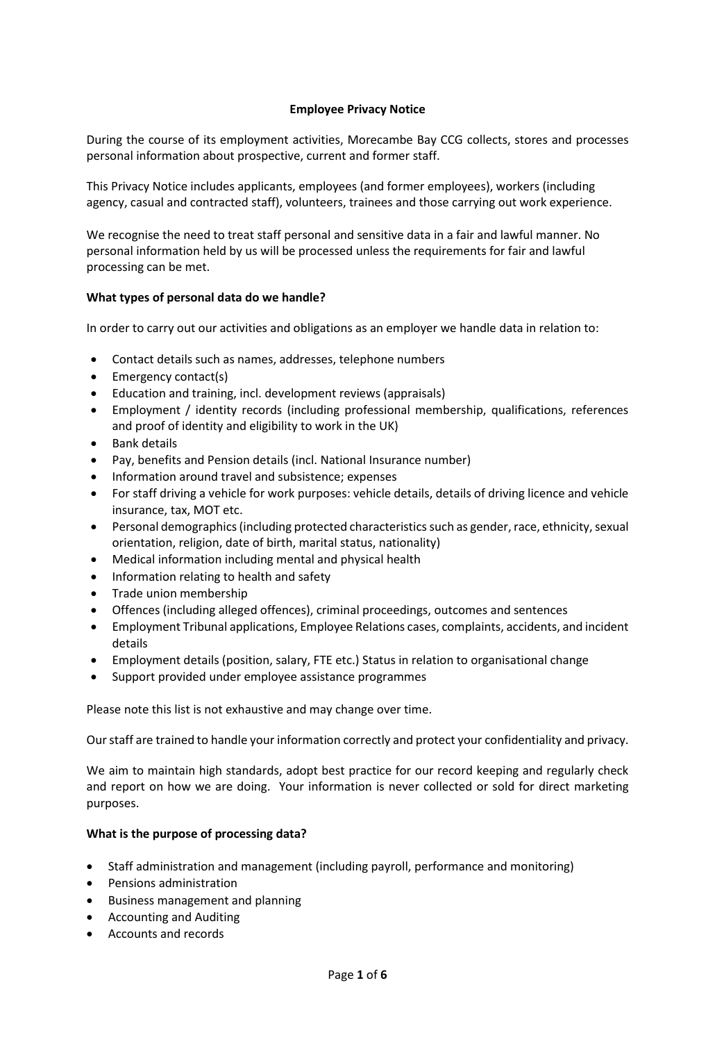### **Employee Privacy Notice**

During the course of its employment activities, Morecambe Bay CCG collects, stores and processes personal information about prospective, current and former staff.

This Privacy Notice includes applicants, employees (and former employees), workers (including agency, casual and contracted staff), volunteers, trainees and those carrying out work experience.

We recognise the need to treat staff personal and sensitive data in a fair and lawful manner. No personal information held by us will be processed unless the requirements for fair and lawful processing can be met.

#### **What types of personal data do we handle?**

In order to carry out our activities and obligations as an employer we handle data in relation to:

- Contact details such as names, addresses, telephone numbers
- Emergency contact(s)
- Education and training, incl. development reviews (appraisals)
- Employment / identity records (including professional membership, qualifications, references and proof of identity and eligibility to work in the UK)
- Bank details
- Pay, benefits and Pension details (incl. National Insurance number)
- Information around travel and subsistence; expenses
- For staff driving a vehicle for work purposes: vehicle details, details of driving licence and vehicle insurance, tax, MOT etc.
- Personal demographics (including protected characteristics such as gender, race, ethnicity, sexual orientation, religion, date of birth, marital status, nationality)
- Medical information including mental and physical health
- Information relating to health and safety
- Trade union membership
- Offences (including alleged offences), criminal proceedings, outcomes and sentences
- Employment Tribunal applications, Employee Relations cases, complaints, accidents, and incident details
- Employment details (position, salary, FTE etc.) Status in relation to organisational change
- Support provided under employee assistance programmes

Please note this list is not exhaustive and may change over time.

Our staff are trained to handle your information correctly and protect your confidentiality and privacy.

We aim to maintain high standards, adopt best practice for our record keeping and regularly check and report on how we are doing. Your information is never collected or sold for direct marketing purposes.

#### **What is the purpose of processing data?**

- Staff administration and management (including payroll, performance and monitoring)
- Pensions administration
- Business management and planning
- Accounting and Auditing
- Accounts and records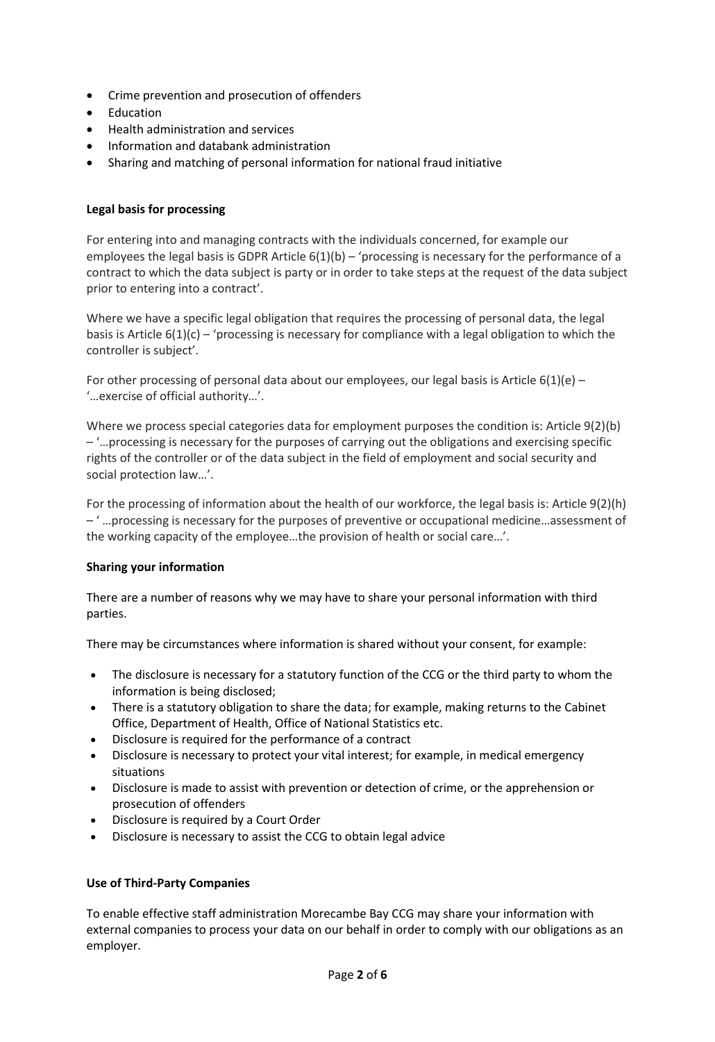- Crime prevention and prosecution of offenders
- Education
- Health administration and services
- Information and databank administration
- Sharing and matching of personal information for national fraud initiative

# **Legal basis for processing**

For entering into and managing contracts with the individuals concerned, for example our employees the legal basis is GDPR Article  $6(1)(b)$  – 'processing is necessary for the performance of a contract to which the data subject is party or in order to take steps at the request of the data subject prior to entering into a contract'.

Where we have a specific legal obligation that requires the processing of personal data, the legal basis is Article  $6(1)(c)$  – 'processing is necessary for compliance with a legal obligation to which the controller is subject'.

For other processing of personal data about our employees, our legal basis is Article  $6(1)(e)$  – '…exercise of official authority…'.

Where we process special categories data for employment purposes the condition is: Article 9(2)(b) – '…processing is necessary for the purposes of carrying out the obligations and exercising specific rights of the controller or of the data subject in the field of employment and social security and social protection law…'.

For the processing of information about the health of our workforce, the legal basis is: Article 9(2)(h) – ' …processing is necessary for the purposes of preventive or occupational medicine…assessment of the working capacity of the employee…the provision of health or social care…'.

# **Sharing your information**

There are a number of reasons why we may have to share your personal information with third parties.

There may be circumstances where information is shared without your consent, for example:

- The disclosure is necessary for a statutory function of the CCG or the third party to whom the information is being disclosed;
- There is a statutory obligation to share the data; for example, making returns to the Cabinet Office, Department of Health, Office of National Statistics etc.
- Disclosure is required for the performance of a contract
- Disclosure is necessary to protect your vital interest; for example, in medical emergency situations
- Disclosure is made to assist with prevention or detection of crime, or the apprehension or prosecution of offenders
- Disclosure is required by a Court Order
- Disclosure is necessary to assist the CCG to obtain legal advice

#### **Use of Third-Party Companies**

To enable effective staff administration Morecambe Bay CCG may share your information with external companies to process your data on our behalf in order to comply with our obligations as an employer.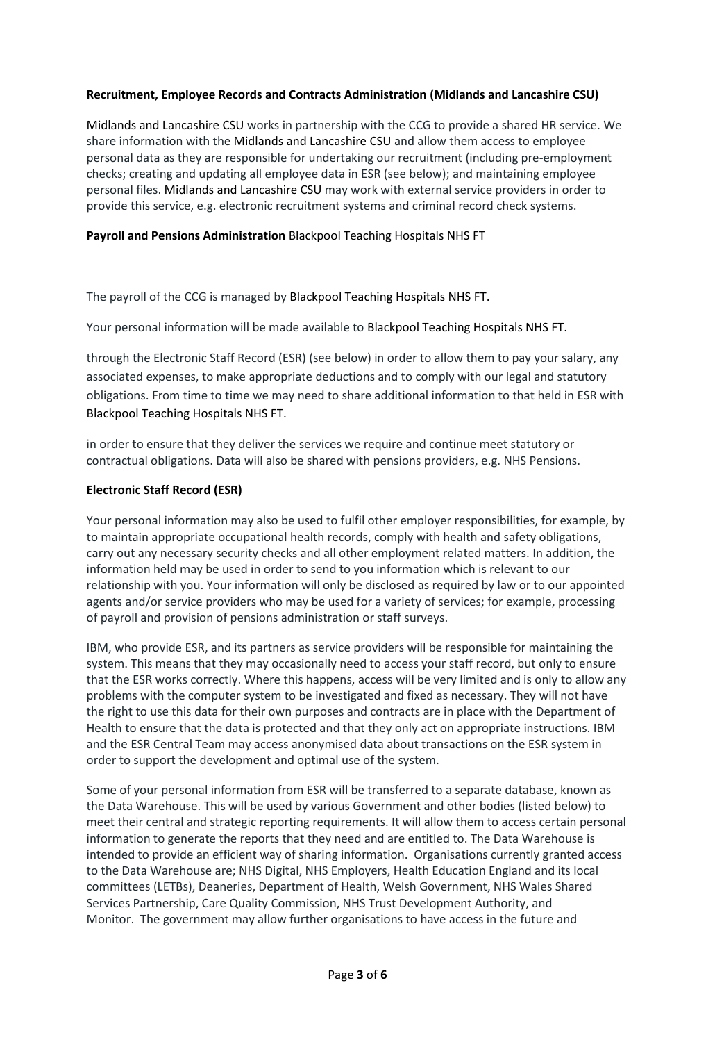# **Recruitment, Employee Records and Contracts Administration (Midlands and Lancashire CSU)**

Midlands and Lancashire CSU works in partnership with the CCG to provide a shared HR service. We share information with the Midlands and Lancashire CSU and allow them access to employee personal data as they are responsible for undertaking our recruitment (including pre-employment checks; creating and updating all employee data in ESR (see below); and maintaining employee personal files. Midlands and Lancashire CSU may work with external service providers in order to provide this service, e.g. electronic recruitment systems and criminal record check systems.

## **Payroll and Pensions Administration** Blackpool Teaching Hospitals NHS FT

The payroll of the CCG is managed by Blackpool Teaching Hospitals NHS FT.

Your personal information will be made available to Blackpool Teaching Hospitals NHS FT.

through the Electronic Staff Record (ESR) (see below) in order to allow them to pay your salary, any associated expenses, to make appropriate deductions and to comply with our legal and statutory obligations. From time to time we may need to share additional information to that held in ESR with Blackpool Teaching Hospitals NHS FT.

in order to ensure that they deliver the services we require and continue meet statutory or contractual obligations. Data will also be shared with pensions providers, e.g. NHS Pensions.

## **Electronic Staff Record (ESR)**

Your personal information may also be used to fulfil other employer responsibilities, for example, by to maintain appropriate occupational health records, comply with health and safety obligations, carry out any necessary security checks and all other employment related matters. In addition, the information held may be used in order to send to you information which is relevant to our relationship with you. Your information will only be disclosed as required by law or to our appointed agents and/or service providers who may be used for a variety of services; for example, processing of payroll and provision of pensions administration or staff surveys.

IBM, who provide ESR, and its partners as service providers will be responsible for maintaining the system. This means that they may occasionally need to access your staff record, but only to ensure that the ESR works correctly. Where this happens, access will be very limited and is only to allow any problems with the computer system to be investigated and fixed as necessary. They will not have the right to use this data for their own purposes and contracts are in place with the Department of Health to ensure that the data is protected and that they only act on appropriate instructions. IBM and the ESR Central Team may access anonymised data about transactions on the ESR system in order to support the development and optimal use of the system.

Some of your personal information from ESR will be transferred to a separate database, known as the Data Warehouse. This will be used by various Government and other bodies (listed below) to meet their central and strategic reporting requirements. It will allow them to access certain personal information to generate the reports that they need and are entitled to. The Data Warehouse is intended to provide an efficient way of sharing information. Organisations currently granted access to the Data Warehouse are; NHS Digital, NHS Employers, Health Education England and its local committees (LETBs), Deaneries, Department of Health, Welsh Government, NHS Wales Shared Services Partnership, Care Quality Commission, NHS Trust Development Authority, and Monitor. The government may allow further organisations to have access in the future and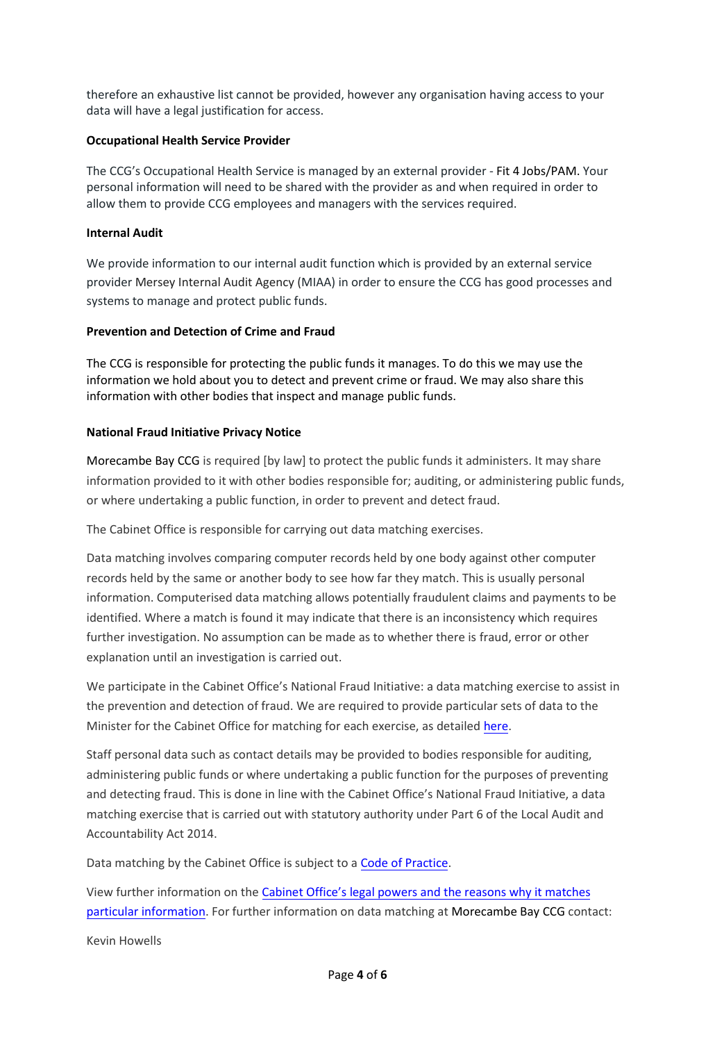therefore an exhaustive list cannot be provided, however any organisation having access to your data will have a legal justification for access.

#### **Occupational Health Service Provider**

The CCG's Occupational Health Service is managed by an external provider - Fit 4 Jobs/PAM. Your personal information will need to be shared with the provider as and when required in order to allow them to provide CCG employees and managers with the services required.

### **Internal Audit**

We provide information to our internal audit function which is provided by an external service provider Mersey Internal Audit Agency (MIAA) in order to ensure the CCG has good processes and systems to manage and protect public funds.

## **Prevention and Detection of Crime and Fraud**

The CCG is responsible for protecting the public funds it manages. To do this we may use the information we hold about you to detect and prevent crime or fraud. We may also share this information with other bodies that inspect and manage public funds.

## **National Fraud Initiative Privacy Notice**

Morecambe Bay CCG is required [by law] to protect the public funds it administers. It may share information provided to it with other bodies responsible for; auditing, or administering public funds, or where undertaking a public function, in order to prevent and detect fraud.

The Cabinet Office is responsible for carrying out data matching exercises.

Data matching involves comparing computer records held by one body against other computer records held by the same or another body to see how far they match. This is usually personal information. Computerised data matching allows potentially fraudulent claims and payments to be identified. Where a match is found it may indicate that there is an inconsistency which requires further investigation. No assumption can be made as to whether there is fraud, error or other explanation until an investigation is carried out.

We participate in the Cabinet Office's National Fraud Initiative: a data matching exercise to assist in the prevention and detection of fraud. We are required to provide particular sets of data to the Minister for the Cabinet Office for matching for each exercise, as detaile[d here.](https://www.gov.uk/government/collections/national-fraud-initiative)

Staff personal data such as contact details may be provided to bodies responsible for auditing, administering public funds or where undertaking a public function for the purposes of preventing and detecting fraud. This is done in line with the Cabinet Office's National Fraud Initiative, a data matching exercise that is carried out with statutory authority under Part 6 of the Local Audit and Accountability Act 2014.

Data matching by the Cabinet Office is subject to a [Code of Practice.](https://www.gov.uk/government/publications/code-of-data-matching-practice-for-national-fraud-initiative)

View further information on the [Cabinet Office's legal powers and the reasons why it matches](https://www.gov.uk/government/publications/fair-processing-national-fraud-initiative/fair-processing-level-3-full-text)  [particular information.](https://www.gov.uk/government/publications/fair-processing-national-fraud-initiative/fair-processing-level-3-full-text) For further information on data matching at Morecambe Bay CCG contact:

Kevin Howells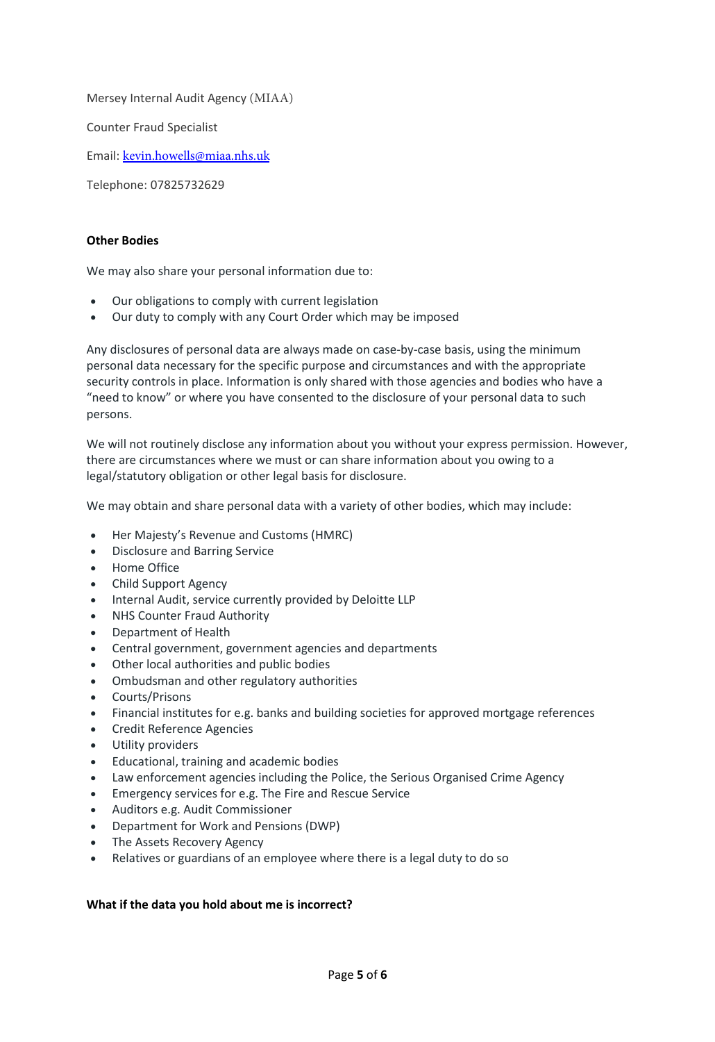Mersey Internal Audit Agency (MIAA)

Counter Fraud Specialist

Email: [kevin.howells@miaa](mailto:paul.bell2@nhs.net).[nhs.uk](mailto:kevin.howells1@nhs.net)

Telephone: 07825732629

### **Other Bodies**

We may also share your personal information due to:

- Our obligations to comply with current legislation
- Our duty to comply with any Court Order which may be imposed

Any disclosures of personal data are always made on case-by-case basis, using the minimum personal data necessary for the specific purpose and circumstances and with the appropriate security controls in place. Information is only shared with those agencies and bodies who have a "need to know" or where you have consented to the disclosure of your personal data to such persons.

We will not routinely disclose any information about you without your express permission. However, there are circumstances where we must or can share information about you owing to a legal/statutory obligation or other legal basis for disclosure.

We may obtain and share personal data with a variety of other bodies, which may include:

- Her Majesty's Revenue and Customs (HMRC)
- Disclosure and Barring Service
- Home Office
- Child Support Agency
- Internal Audit, service currently provided by Deloitte LLP
- NHS Counter Fraud Authority
- Department of Health
- Central government, government agencies and departments
- Other local authorities and public bodies
- Ombudsman and other regulatory authorities
- Courts/Prisons
- Financial institutes for e.g. banks and building societies for approved mortgage references
- Credit Reference Agencies
- Utility providers
- Educational, training and academic bodies
- Law enforcement agencies including the Police, the Serious Organised Crime Agency
- Emergency services for e.g. The Fire and Rescue Service
- Auditors e.g. Audit Commissioner
- Department for Work and Pensions (DWP)
- The Assets Recovery Agency
- Relatives or guardians of an employee where there is a legal duty to do so

#### **What if the data you hold about me is incorrect?**